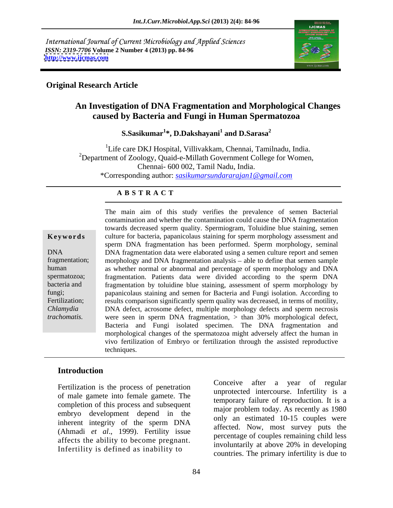International Journal of Current Microbiology and Applied Sciences *ISSN: 2319-7706* **Volume 2 Number 4 (2013) pp. 84-96 <http://www.ijcmas.com>**



#### **Original Research Article**

## **An Investigation of DNA Fragmentation and Morphological Changes caused by Bacteria and Fungi in Human Spermatozoa**

**S.Sasikumar<sup>1</sup> \*, D.Dakshayani<sup>1</sup> and D.Sarasa<sup>2</sup>**

<sup>1</sup>Life care DKJ Hospital, Villivakkam, Chennai, Tamilnadu, India.<br><sup>2</sup>Department of Zoology, Quaid-e-Millath Government College for Women, Chennai- 600 002, Tamil Nadu, India. \*Corresponding author: *sasikumarsundararajan1@gmail.com*

#### **A B S T R A C T**

**Keywords** culture for bacteria, papanicolaus staining for sperm morphology assessment and DNA DNA fragmentation data were elaborated using a semen culture report and semen fragmentation; morphology and DNA fragmentation analysis – able to define that semen sample human as whether normal or abnormal and percentage of sperm morphology and DNA spermatozoa; fragmentation. Patients data were divided according to the sperm DNA bacteria and fragmentation by toluidine blue staining, assessment of sperm morphology by fungi; papanicolaus staining and semen for Bacteria and Fungi isolation. According to Fertilization; results comparison significantly sperm quality was decreased, in terms of motility, *Chlamydia*  DNA defect, acrosome defect, multiple morphology defects and sperm necrosis The main aim of this study verifies the prevalence of semen Bacterial<br>contamination and whether the contamination could cause the DNA fragmentation<br>twords decreased sperm quality. Spermiogram, Toludine blue staining<br>summar contamination and whether the contamination could cause the DNA fragmentation towards decreased sperm quality. Spermiogram, Toluidine blue staining, semen sperm DNA fragmentation has been performed. Sperm morphology, seminal were seen in sperm DNA fragmentation, > than 30% morphological defect, Bacteria and Fungi isolated specimen. The DNA fragmentation and morphological changes of the spermatozoa might adversely affect the human in vivo fertilization of Embryo or fertilization through the assisted reproductive techniques.

### **Introduction**

of male gamete into female gamete. The completion of this process and subsequent embryo development depend in the inherent integrity of the sperm DNA (Ahmadi *et al*., 1999). Fertility issue affects the ability to become pregnant. The involuntarily at above 20% in developing Infertility is defined as inability to

Fertilization is the process of penetration<br>
Fertilization is the process of penetration<br>
Fertilization<br>
Fertilization<br>
Legal interested interesting Legal interests in the interest of the interests of the interests in the Conceive after a year of regular unprotected intercourse. Infertility is a temporary failure of reproduction. It is a major problem today. As recently as 1980 only an estimated 10-15 couples were affected. Now, most survey puts the percentage of couples remaining child less involuntarily at above 20% in developing countries. The primary infertility is due to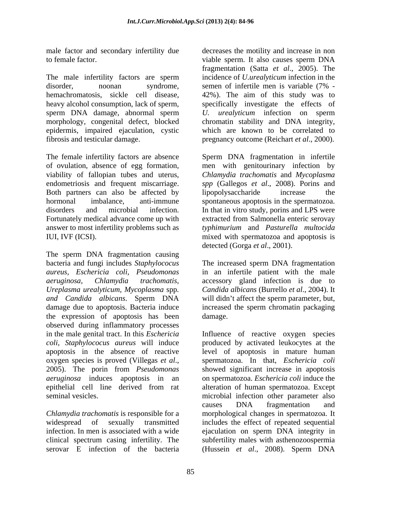to female factor. The viable sperm. It also causes sperm DNA

The male infertility factors are sperm incidence of *U.urealyticum* infection in the disorder, noonan syndrome, semen of infertile men is variable (7% hemachromatosis, sickle cell disease, 42%). The aim of this study was to heavy alcohol consumption, lack of sperm, specifically investigate the effects of sperm DNA damage, abnormal sperm *U. urealyticum* infection on sperm morphology, congenital defect, blocked chromatin stability and DNA integrity, epidermis, impaired ejaculation, cystic

The female infertility factors are absence Sperm DNA fragmentation in infertile of ovulation, absence of egg formation, men with genitourinary infection by viability of fallopian tubes and uterus, *Chlamydia trachomatis* and *Mycoplasma*  endometriosis and frequent miscarriage. *spp* (Gallegos *et al*., 2008). Porins and Both partners can also be affected by lipopolysaccharide increase the hormonal imbalance, anti-immune spontaneous apoptosis in the spermatozoa. disorders and microbial infection. In that in vitro study, porins and LPS were Fortunately medical advance come up with extracted from Salmonella enteric serovay answer to most infertility problems such as *typhimurium* and *Pasturella multocida* IUI, IVF (ICSI). mixed with spermatozoa and apoptosis is

The sperm DNA fragmentation causing bacteria and fungi includes *Staphylococus*  The increased sperm DNA fragmentation *aureus, Eschericia coli, Pseudomonas* in an infertile patient with the male *aeruginosa, Chlamydia trachomatis,* accessory gland infection is due to *Ureplasma urealyticum, Mycoplasma* spp*. Candida albicans* (Burrello *et al*., 2004). It *and Candida albicans*. Sperm DNA will didn t affect the sperm parameter, but, damage due to apoptosis. Bacteria induce increased the sperm chromatin packaging the expression of apoptosis has been observed during inflammatory processes in the male genital tract. In this *Eschericia* 

infection. In men is associated with a wide ejaculation on sperm DNA integrity in serovar E infection of the bacteria (Hussein et al., 2008). Sperm DNA

male factor and secondary infertility due decreases the motility and increase in non fibrosis and testicular damage. pregnancy outcome (Reichart *et al*., 2000). viable sperm. It also causes sperm DNA fragmentation (Satta *et al*., 2005). The incidence of *U.urealyticum* infection in the semen of infertile men is variable (7% which are known to be correlated to

> lipopolysaccharide increase the detected (Gorga *et al*., 2001).

damage. **Example 20** and the set of the set of the set of the set of the set of the set of the set of the set of the set of the set of the set of the set of the set of the set of the set of the set of the set of the set of

*coli, Staphylococus aureus* will induce produced by activated leukocytes at the apoptosis in the absence of reactive level of apoptosis in mature human oxygen species is proved (Villegas *et al*., 2005). The porin from *Pseudomonas aeruginosa* induces apoptosis in an on spermatozoa. *Eschericia coli* induce the epithelial cell line derived from rat alteration of human spermatozoa. Except seminal vesicles. microbial infection other parameter also *Chlamydia trachomatis* is responsible for a morphological changes in spermatozoa. It widespread of sexually transmitted includes the effect of repeated sequential clinical spectrum casing infertility. The subfertility males with asthenozoospermia Influence of reactive oxygen species spermatozoa. In that, *Eschericia coli* showed significant increase in apoptosis causes DNA fragmentation and ejaculation on sperm DNA integrity in (Hussein *et al*., 2008). Sperm DNA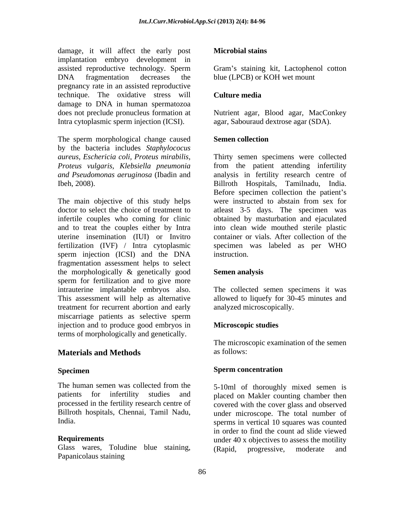damage, it will affect the early post implantation embryo development in assisted reproductive technology. Sperm DNA fragmentation decreases the blue (LPCB) or KOH wet mount pregnancy rate in an assisted reproductive technique. The oxidative stress will **Culture media** damage to DNA in human spermatozoa does not preclude pronucleus formation at Nutrient agar, Blood agar, MacConkey Intra cytoplasmic sperm injection (ICSI).

The sperm morphological change caused Semen collection by the bacteria includes *Staphylococus*  Ibeh, 2008). Billroth Hospitals, Tamilnadu, India.

The main objective of this study helps were instructed to abstain from sex for doctor to select the choice of treatment to atleast 3-5 days. The specimen was infertile couples who coming for clinic obtained by masturbation and ejaculated and to treat the couples either by Intra uterine insemination (IUI) or Invitro container or vials. After collection of the fertilization (IVF) / Intra cytoplasmic specimen was labeled as per WHO sperm injection (ICSI) and the DNA instruction. fragmentation assessment helps to select the morphologically & genetically good Semen analysis sperm for fertilization and to give more intrauterine implantable embryos also. The collected semen specimens it was This assessment will help as alternative allowed to liquefy for 30-45 minutes and treatment for recurrent abortion and early miscarriage patients as selective sperm injection and to produce good embryos in terms of morphologically and genetically.

### **Materials and Methods**

The human semen was collected from the 5-10ml of thoroughly mixed semen is

Glass wares, Toludine blue staining, (Rapid, progressive, moderate and Papanicolaus staining

### **Microbial stains**

Gram's staining kit, Lactophenol cotton blue (LPCB) or KOH wet mount

### **Culture media**

agar, Sabouraud dextrose agar (SDA).

### **Semen collection**

*aureus, Eschericia coli, Proteus mirabilis,* Thirty semen specimens were collected *Proteus vulgaris, Klebsiella pneumonia* from the patient attending infertility *and Pseudomonas aeruginosa* (Ibadin and analysis in fertility research centre of Billroth Hospitals, Tamilnadu, India. Before specimen collection the patient <sup>s</sup> were instructed to abstain from sex for into clean wide mouthed sterile plastic instruction.

### **Semen analysis**

analyzed microscopically.

### **Microscopic studies**

The microscopic examination of the semen as follows:

#### **Specimen** Sperm concentration **Sperm concentration**

patients for infertility studies and placed on Makler counting chamber then processed in the fertility research centre of covered with the cover glass and observed Billroth hospitals, Chennai, Tamil Nadu, under microscope. The total number of India. Sperms in vertical 10 squares was counted **Requirements** and the under 40 x objectives to assess the motility 5-10ml of thoroughly mixed semen is in order to find the count ad slide viewed (Rapid, progressive, moderate and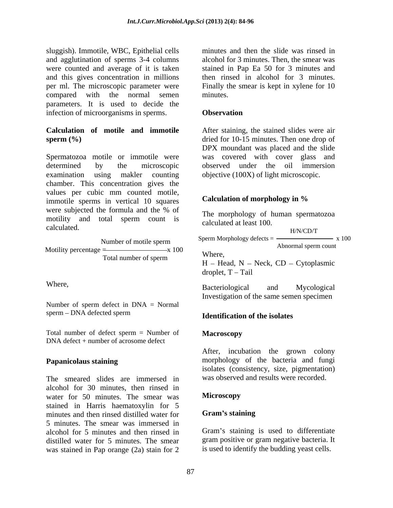sluggish). Immotile, WBC, Epithelial cells and agglutination of sperms 3-4 columns were counted and average of it is taken stained in Pap Ea 50 for 3 minutes and and this gives concentration in millions then rinsed in alcohol for 3 minutes. per ml. The microscopic parameter were Finally the smear is kept in xylene for 10 compared with the normal semen parameters. It is used to decide the infection of microorganisms in sperms. **Observation** 

Spermatozoa motile or immotile were was covered with cover glass and determined by the microscopic observed under the oil immersion examination using makler counting objective (100X) of light microscopic. chamber. This concentration gives the values per cubic mm counted motile,<br>immotile sperms in vertical 10 squares<br>**Calculation of morphology in %** immotile sperms in vertical 10 squares were subjected the formula and the % of The morphology of human spermatozes motility and total sperm count is calculated. The calculated at least 100.

 $\overline{\phantom{a}}$  Total number of sperm Where,

Number of sperm defect in DNA = Normal sperm – DNA defected sperm and the state of the isolates

Total number of defect sperm = Number of **Macroscopy** DNA defect + number of acrosome defect

The smeared slides are immersed in alcohol for 30 minutes, then rinsed in water for 50 minutes. The smear was **Microscopy** stained in Harris haematoxylin for 5 minutes and then rinsed distilled water for **Gram's staining** 5 minutes. The smear was immersed in alcohol for 5 minutes and then rinsed in distilled water for 5 minutes. The smear was stained in Pap orange (2a) stain for 2

minutes and then the slide was rinsed in alcohol for 3 minutes. Then, the smear was minutes.

### **Observation**

**Calculation of motile and immotile** After staining, the stained slides were air **sperm (%)** dried for 10-15 minutes. Then one drop of DPX moundant was placed and the slide was covered with cover glass and

### **Calculation of morphology in %**

The morphology of human spermatozoa calculated at least 100. H/N/CD/T

Where,  $H$  – Head,  $N$  – Neck, CD – Cytoplasmic Number of motile sperm  $\frac{\text{Sperm}\,\text{Morphology} \,\text{a} \,\text{Eects}}{\text{A thermal result}}$  x 100 Motility percentage  $=$   $x 100$   $x n_{\text{max}}$  H/N/CD/T Sperm Morphology defects  $=$   $\frac{3.00}{100}$  x 100 Abnormal sperm count

droplet,  $T - Tail$ 

Where, Racteriological and Mycological Bacteriological and Mycological Investigation of the same semen specimen

### **Identification of the isolates**

### **Macroscopy**

**Papanicolaus staining** morphology of the bacteria and fungi After, incubation the grown colony isolates (consistency, size, pigmentation) was observed and results were recorded.

### **Microscopy**

### **Gram s staining**

Gram's staining is used to differentiate gram positive or gram negative bacteria. It is used to identify the budding yeast cells.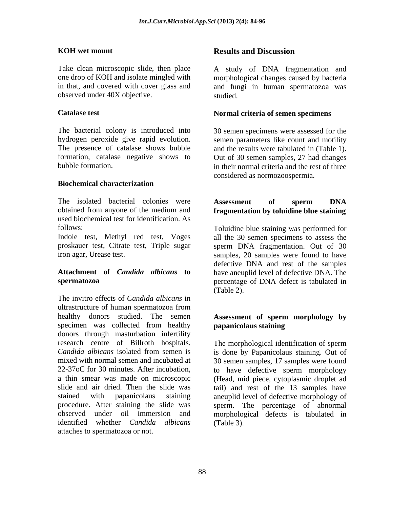observed under 40X objective.

The bacterial colony is introduced into 30 semen specimens were assessed for the hydrogen peroxide give rapid evolution. Semen parameters like count and motility The presence of catalase shows bubble and the results were tabulated in (Table 1). formation, catalase negative shows to Out of 30 semen samples, 27 had changes

### **Biochemical characterization**

The isolated bacterial colonies were **Assessment** of sperm DNA obtained from anyone of the medium and **fragmentation by toluidine blue staining** used biochemical test for identification. As

proskauer test, Citrate test, Triple sugar

The invitro effects of *Candida albicans* in ultrastructure of human spermatozoa from healthy donors studied. The semen **Assessment of sperm morphology by** specimen was collected from healthy **papanicolaus staining** donors through masturbation infertility research centre of Billroth hospitals. The morphological identification of sperm *Candida albicans* isolated from semen is is done by Papanicolaus staining. Out of mixed with normal semen and incubated at 30 semen samples, 17 samples were found 22-37oC for 30 minutes. After incubation, to have defective sperm morphology a thin smear was made on microscopic (Head, mid piece, cytoplasmic droplet ad slide and air dried. Then the slide was tail) and rest of the 13 samples have stained with papanicolaus staining aneuplid level of defective morphology of procedure. After staining the slide was sperm. The percentage of abnormal observed under oil immersion and morphological defects is tabulated in identified whether *Candida albicans* attaches to spermatozoa or not.

#### **KOH** wet mount **Results** and Discussion **Results and Discussion**

Take clean microscopic slide, then place A study of DNA fragmentation and one drop of KOH and isolate mingled with morphological changes caused by bacteria in that, and covered with cover glass and and fungi in human spermatozoa was studied.

### **Catalase test Normal criteria of semen specimens**

bubble formation. in their normal criteria and the rest of three considered as normozoospermia.

## **Assessment of sperm DNA**

follows: Toluidine blue staining was performed for Indole test, Methyl red test, Voges all the 30 semen specimens to assess the iron agar, Urease test. Samples, 20 samples were found to have **Attachment of** *Candida albicans* **to** have aneuplid level of defective DNA. The **spermatozoa**  percentage of DNA defect is tabulated in sperm DNA fragmentation. Out of 30 defective DNA and rest of the samples (Table 2).

# **papanicolaus staining**

(Table 3).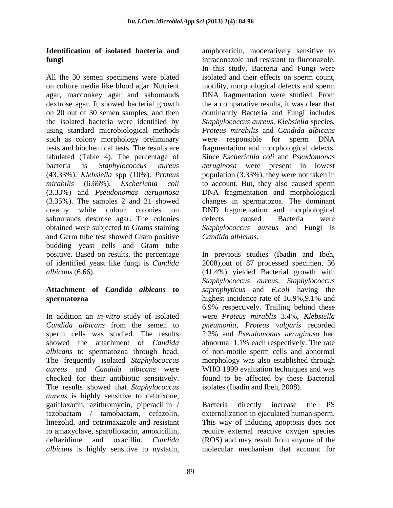All the 30 semen specimens were plated on culture media like blood agar. Nutrient agar, macconkey agar and sabourauds DNA fragmentation were studied. From dextrose agar. It showed bacterial growth the a comparative results, itwas clear that on 20 out of 30 semen samples, and then dominantly Bacteria and Fungi includes the isolated bacteria were identified by *Staphylococcus aureus, Klebsiella* species, using standard microbiological methods such as colony morphology preliminary were responsible for sperm DNA tests and biochemical tests. The results are fragmentation and morphological defects. tabulated (Table 4). The percentage of Since *Escherichia coli* and *Pseudomonas*  bacteria is *Staphylococcus aureus aeruginosa* were presentin lowest (43.33%). *Klebsiella* spp (10%). *Proteus mirabilis* (6.66%), *Escherichia coli* to account. But, they also caused sperm (3.33%) and *Pseudonomas aeruginosa* DNA fragmentation and morphological (3.35%). The samples 2 and 21 showed changes in spermatozoa. The dominant creamy white colour colonies on DND fragmentation and morphological sabourauds destrose agar. The colonies defects caused Bacteria were obtained were subjected to Grams staining *Staphylococcus aureus* and Fungi is and Germ tube test showed Gram positive budding yeast cells and Gram tube positive. Based on results, the percentage In previous studies (Ibadin and Ibeh, of identified yeast like fungi is *Candida*  2008),out of 87 processed specimen, 36 *albicans* (6.66). (41.4%) yielded Bacterial growth with

# **spermatozoa** highest incidence rate of 16.9%,9.1% and

In addition an *in-vitro* study of isolated were *Proteus mirablis* 3.4%, *Klebsiella Candida albicans* from the semen to *pneumonia, Proteus vulgaris* recorded sperm cells was studied. The results 2.3% and *Pseudomonas aeruginosa* had showed the attachment of *Candida*  abnormal 1.1% each respectively. The rate *albicans* to spermatozoa through head. The frequently isolated *Staphylococcus* morphology was also established through *aureus* and *Candida albicans* were WHO 1999 evaluation techniques and was checked for their antibiotic sensitively. found to be affected by these Bacterial The results showed that *Staphylococcus aureus* is highly sensitive to ceftrixone, gatifloxacin, azithromycin, piperacillin / tazobactam / tamobactam, cefazolin, externalization in ejaculated human sperm. linezolid, and cotrimaxazole and resistant This way of inducing apoptosis does not to amaxyclave, sparofloxacin, amoxicillin, require external reactive oxygen species ceftazidime and oxacillin. *Candida albicans* is highly sensitive to nystatin, molecular mechanism that account for

**Identification of isolated bacteria and** amphotericin, moderatively sensitive to **fungi intraconazole and resistant to fluconazole.** In this study, Bacteria and Fungi were isolated and their effects on sperm count, motility, morphological defects and sperm *Proteus mirabilis* and *Candida albicans* were responsible for sperm DNA population (3.33%), they were not taken in defects caused Bacteria were *Candida albicuns.*

**Attachment of** *Candida albicans* **to** *saprophyticus* and *E.coli* having the *Staphylococcus aureus*, *Staphylococcus*  highest incidence rate of 16.9%,9.1% and 6.9% respectively. Trailing behind these of non-motile sperm cells and abnormal isolates (Ibadin and Ibeh, 2008).

> Bacteria directly increase the PS (ROS) and may result from anyone of the molecular mechanism that account for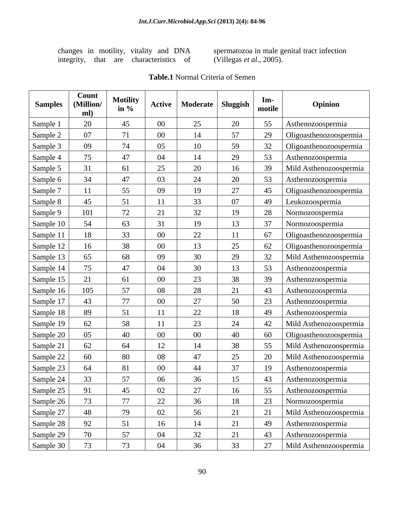integrity, that are characteristics of

changes in motility, vitality and DNA spermatozoa in male genital tract infection (Villegas *et al*., 2005).

| <b>Samples</b> | <b>Count</b><br>(Million/<br>ml) | <b>Motility</b><br>in $\%$ |                           | Active   Moderate   Sluggish |           | $Im-$<br>  motile | Opinion                |
|----------------|----------------------------------|----------------------------|---------------------------|------------------------------|-----------|-------------------|------------------------|
| Sample 1       | 20                               | 45                         | $00\,$                    | 25                           | 20        | 55                | Asthenozoospermia      |
| Sample 2       | 07                               | 71                         | $00\,$                    | 14                           | 57        | 29                | Oligoasthenozoospermia |
| Sample 3       | 09                               | 74                         | 05                        | 10                           | 59        |                   | Oligoasthenozoospermia |
| Sample 4       | 75                               | 47                         | 04                        | 14                           | 29        | 53                | Asthenozoospermia      |
| Sample 5       | 31                               | 61                         | 25                        | 20                           | 16        | 39                | Mild Asthenozoospermia |
| Sample 6       | 34                               | 47                         | 03                        | 24                           | 20        | 53                | Asthenozoospermia      |
| Sample 7       |                                  | 55                         | 09                        | 19                           | 27        | 45                | Oligoasthenozoospermia |
| Sample 8       | 45                               | 51                         |                           | 33                           | 07        | 49                | Leukozoospermia        |
| Sample 9       | 101                              | 72                         |                           | 32                           |           | 28                | Normozoospermia        |
| Sample 10      | 54                               | 63                         |                           | 19                           | 13        | 37                | Normozoospermia        |
| Sample 11      |                                  | 33                         | - 00                      | 22                           |           | 67                | Oligoasthenozoospermia |
| Sample 12      |                                  | 38                         | - 00                      | 13                           | 25        | 62                | Oligoasthenozoospermia |
| Sample 13      | 65                               | 68                         | 09                        | 30                           | 29        |                   | Mild Asthenozoospermia |
| Sample 14      | 75                               | 47                         | 04                        | 30                           | 13        | 53                | Asthenozoospermia      |
| Sample 15      | 21                               | 61                         | $00\,$                    | 23                           | 38        |                   | Asthenozoospermia      |
| Sample 16      | 105                              | 57                         | 08                        | 28                           | 21        | 43                | Asthenozoospermia      |
| Sample 17      | 43                               | 77                         | $\Omega$                  | 27                           | 50        | 23                | Asthenozoospermia      |
| Sample 18      | 89                               | 51                         |                           | 22                           | 18        | 49                | Asthenozoospermia      |
| Sample 19      | 62                               | 58                         |                           | 23                           | 24        | 42                | Mild Asthenozoospermia |
| Sample 20      | 05 <sup>1</sup>                  | 40                         | 00                        | $00\,$                       | 40        | 60                | Oligoasthenozoospermia |
| Sample 21      | 62                               | 64                         | 12                        | 14                           |           | 55                | Mild Asthenozoospermia |
| Sample 22      | 60                               | 80                         | 08                        | 47                           | 25        | 20                | Mild Asthenozoospermia |
| Sample 23      | 64                               | 81                         | - 00                      |                              |           | 19                | Asthenozoospermia      |
| Sample 24      | 33                               | 57                         | $\Omega$<br>$\cup$ $\cup$ | U                            | 15<br>1 J |                   | 43 Asthenozoospermia   |
| Sample 25      | 91                               | 45                         | 02                        | 27                           | 16        | 55                | Asthenozoospermia      |
| Sample 26      | 73                               | 77                         | 22                        | 36                           | 18        | 23                | Normozoospermia        |
|                | 48                               | 79                         | 02                        | 56                           | 21        | 21                | Mild Asthenozoospermia |
| Sample 27      | 92                               | 51                         | 16                        | 14                           | 21        | 49                | Asthenozoospermia      |
| Sample 29      | 70                               | 57                         | 04                        | 32                           | 21        | 43                | Asthenozoospermia      |
| Sample 30      | 73                               | 73                         | 04                        | 36                           | 33        | 27                | Mild Asthenozoospermia |

#### **Table.1** Normal Criteria of Semen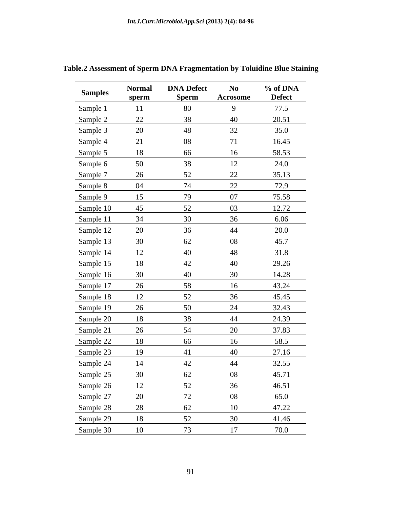| <b>Samples</b> | <b>Normal</b><br>sperm | <b>DNA Defect</b><br><b>Sperm</b> | $\mathbf{N}\mathbf{0}$<br>Acrosome | % of DNA<br><b>Defect</b> |
|----------------|------------------------|-----------------------------------|------------------------------------|---------------------------|
| Sample 1       | 11                     | 80                                | 9                                  | 77.5                      |
| Sample 2       | 22                     | 38                                | 40                                 | 20.51                     |
| Sample 3       | 20                     | 48                                | 32                                 | 35.0                      |
| Sample 4       | 21                     | 08                                | 71                                 | 16.45                     |
| Sample 5       | 18                     | 66                                | 16                                 | 58.53                     |
| Sample 6       | 50                     | 38                                | 12                                 | 24.0                      |
| Sample 7       | 26                     | 52                                | 22                                 | 35.13                     |
| Sample 8       | 04                     | 74                                | 22                                 | 72.9                      |
| Sample 9       | 15                     | 79                                | 07                                 | 75.58                     |
| Sample 10      | 45                     | 52                                | 03                                 | 12.72                     |
| Sample 11      | 34                     | 30                                | 36                                 | 6.06                      |
| Sample 12      | 20                     | 36                                | 44                                 | 20.0                      |
|                | 30                     | 62                                | 08                                 | 45.7                      |
| Sample 13      | 12                     | 40                                | 48                                 |                           |
| Sample 14      |                        |                                   |                                    | 31.8                      |
| Sample 15      | 18                     | 42                                | 40                                 | 29.26                     |
| Sample 16      | 30                     | 40                                | 30                                 | 14.28                     |
| Sample 17      | 26                     | 58                                | 16                                 | 43.24                     |
| Sample 18      | 12                     | 52                                | 36                                 | 45.45                     |
| Sample 19      | 26                     | 50                                | 24                                 | 32.43                     |
| Sample 20      | 18                     | 38                                | 44                                 | 24.39                     |
| Sample 21      | 26                     | 54                                | 20                                 | 37.83                     |
| Sample 22      | 18                     | 66                                | 16                                 | 58.5                      |
| Sample 23      | 19                     | 41                                | 40                                 | 27.16                     |
| Sample 24      | 14                     | 42                                | 44                                 | 32.55                     |
| Sample 25      | 30                     | 62                                | 08                                 | 45.71                     |
| Sample 26      | 12                     | 52                                | 36                                 | 46.51                     |
| Sample 27      | 20                     | 72                                | 08                                 | 65.0                      |
| Sample 28      | 28                     | 62                                | 10                                 | 47.22                     |
| Sample 29      | 18                     | 52                                | 30                                 | 41.46                     |
| Sample 30      | 10                     | 73                                | 17                                 | 70.0                      |

## **Table.2 Assessment of Sperm DNA Fragmentation by Toluidine Blue Staining**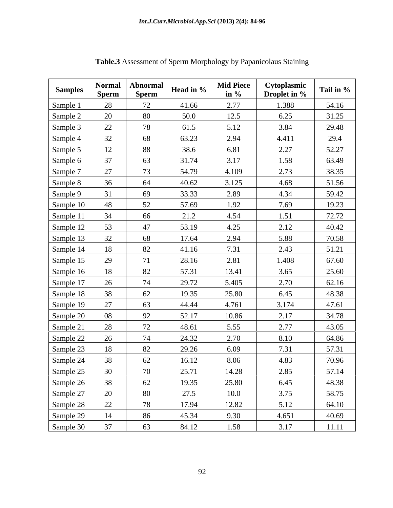| <b>Samples</b>                                                | <b>Normal</b><br><b>Sperm</b> | Abnormal<br>Sperm | Head in %      | Mid Piece<br>in $\%$ | Cytoplasmic<br>Droplet in % | Tail in %      |
|---------------------------------------------------------------|-------------------------------|-------------------|----------------|----------------------|-----------------------------|----------------|
| Sample 1                                                      |                               | 72                | 41.66          | 2.77                 | 1.388                       | 54.16          |
|                                                               |                               | 80                | 50.0           | 12.5                 | 6.25                        | 31.25          |
| Sample 2<br>Sample 3                                          | $\Omega$                      | 78                | 61.5           | 5.12                 | 3.84                        | 29.48          |
| Sample 4                                                      | 32                            | 68                | 63.23          | 2.94                 | 4.411                       | 29.4           |
| Sample 5                                                      |                               | 88                | 38.6           | 6.81                 | 2.27                        | 52.27          |
|                                                               |                               | 63                | 31.74          | 3.17                 | 1.58                        | 63.49          |
| Sample 6<br>Sample 7                                          | 27                            | 73                | 54.79          | 4.109                | 2.73                        | 38.35          |
| Sample 8                                                      |                               | 64                | 40.62          | 3.125                | 4.68                        | 51.56          |
| Sample 9                                                      |                               | 69                | 33.33          | 2.89                 | 4.34                        | 59.42          |
|                                                               | 48                            | 52                | 57.69          | 1.92                 | 7.69                        | 19.23          |
| Sample 10<br>Sample 11                                        | 34                            | 66                | 21.2           | 4.54                 | 1.51                        | 72.72          |
| Sample 12                                                     | 53                            | 47                | 53.19          | 4.25                 | 2.12                        | 40.42          |
| Sample 13                                                     | 32 <sup>o</sup>               | 68                | 17.64          | 2.94                 | 5.88                        | 70.58          |
| Sample 14                                                     |                               | 82                | 41.16          | 7.31                 | 2.43                        | 51.21          |
| Sample 15                                                     |                               | 71                | 28.16          | 2.81                 | 1.408                       | 67.60          |
| Sample 16                                                     |                               | 82                | 57.31          | 13.41                | 3.65                        | 25.60          |
| Sample 17                                                     |                               | 74                | 29.72          | 5.405                | 2.70                        | 62.16          |
|                                                               |                               | 62                | 19.35          | 25.80                | 6.45                        | 48.38          |
| Sample 18<br>Sample 19                                        | 27                            | 63                | 44.44          | 4.761                | 3.174                       | 47.61          |
| Sample 20                                                     |                               | 92                | 52.17          | 10.86                | 2.17                        | 34.78          |
| Sample 21                                                     |                               | 72                | 48.61          | 5.55                 | 2.77                        | 43.05          |
| Sample 22                                                     |                               | 74                | 24.32          | 2.70                 | 8.10                        | 64.86          |
|                                                               |                               | 82                | 29.26          | 6.09                 | 7.31                        | 57.31          |
| Sample 23<br>Sample 24                                        |                               | 62                | 16.12          | 8.06                 | 4.83                        | 70.96          |
|                                                               |                               | 70                | 25.71          | 14.28                | 2.85                        | 57.14          |
|                                                               |                               | 62                | 19.35          | 25.80                | 6.45                        |                |
|                                                               | 20                            | 80                | 27.5           | 10.0                 | 3.75                        | 48.38          |
|                                                               | 22                            |                   |                | 12.82                | 5.12                        | 58.75          |
|                                                               |                               | 78                | 17.94          |                      | 4.651                       | 64.10          |
| Sample 25<br>Sample 26<br>Sample 27<br>Sample 28<br>Sample 30 | 14<br>37                      | 86<br>63          | 45.34<br>84.12 | 9.30<br>1.58         | 3.17                        | 40.69<br>11.11 |
|                                                               |                               |                   |                |                      |                             |                |

**Table.3** Assessment of Sperm Morphology by Papanicolaus Staining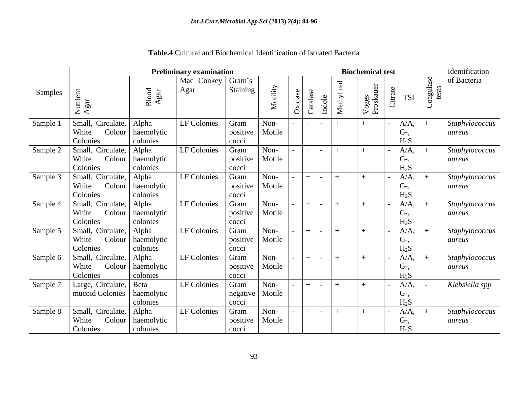|          |                                      | <b>Biochemical test</b>            |                     |                            |        | Identification |                      |                |                             |                          |
|----------|--------------------------------------|------------------------------------|---------------------|----------------------------|--------|----------------|----------------------|----------------|-----------------------------|--------------------------|
|          |                                      |                                    | Mac Conkey   Gram's |                            |        |                |                      |                |                             | of Bacteria              |
| Samples  | $Z \triangleleft$                    | $\frac{\text{Blood}}{\text{Agar}}$ | Agar                | Staining                   | ility  | $\circ$        | 르                    | Voge:<br>Prosk | <b>TSI</b>                  |                          |
| Sample 1 | Small, Circulate,                    | Alpha                              | LF Colonies         | Gram                       | Non-   |                |                      |                | $A/A$ ,                     | Staphylococcus           |
|          | White<br>Colonies                    | Colour   haemolytic<br>colonies    |                     | positive                   | Motile |                |                      |                | G-,<br>$H_2S$               | aureus                   |
| Sample 2 | Small, Circulate,                    | Alpha                              | LF Colonies         | cocci<br>Gram              | Non-   |                |                      | $+$            | $A/A$ ,                     | Staphylococcus           |
|          | $\text{Colour}$<br>White             | haemolytic                         |                     | positive                   | Motile |                |                      |                | U-,                         | aureus                   |
|          | Colonies                             | colonies                           |                     | cocci                      |        |                |                      |                | $H_2S$                      |                          |
| Sample 3 | Small, Circulate, Alpha              |                                    | LF Colonies         | Gram                       | Non-   |                | $+$ $-$              |                | $A/A$ ,                     | Staphylococcus           |
|          | White                                | Colour   haemolytic                |                     | positive                   | Motile |                |                      |                | G-,                         | aureus                   |
| Sample 4 | Colonies<br>Small, Circulate,        | colonies<br>Alpha                  | LF Colonies         | cocci<br>Gram              | Non-   |                |                      | $+$            | H <sub>2</sub> S<br>$A/A$ , |                          |
|          | Colour<br>White                      | haemolytic                         |                     | positive                   | Motile |                |                      |                | $G-$                        | Staphylococcus<br>aureus |
|          | Colonies                             | colonies                           |                     | cocci                      |        |                |                      |                | $H_2S$                      |                          |
| Sample 5 | Small, Circulate,                    | Alpha                              | LF Colonies         | Gram                       | Non-   |                | $\mathbf{I}$         |                | $A/A$ ,                     | Staphylococcus           |
|          | White                                | Colour   haemolytic                |                     | positive                   | Motile |                |                      |                | U-,                         | aureus                   |
|          | Colonies                             | colonies                           |                     | cocci                      |        |                |                      |                | $H_2S$                      |                          |
| Sample 6 | Small, Circulate,<br>Colour<br>White | Alpha<br>haemolytic                | LF Colonies         | Gram<br>positive   Motile  | Non-   |                |                      |                | $A/A$ ,<br>$G-$             | Staphylococcus<br>aureus |
|          | Colonies                             | colonies                           |                     | cocci                      |        |                |                      |                | $H_2S$                      |                          |
| Sample 7 | Large, Circulate,   Beta             |                                    | LF Colonies         | Gram                       | Non-   |                | $\sim$ $\sim$ $\sim$ |                | $A/A$ ,                     | Klebsiella spp           |
|          | mucoid Colonies   haemolytic         |                                    |                     | negative   Motile          |        |                |                      |                | $G-$                        |                          |
|          |                                      | colonies                           |                     | cocci                      |        |                |                      |                | $H_2S$                      |                          |
| Sample 8 | Small, Circulate,                    | Alpha                              | LF Colonies         | Gram                       | Non-   |                |                      |                | $A/A$ ,                     | Staphylococcus           |
|          | White<br>Colonies                    | Colour   haemolytic<br>colonies    |                     | positive   Motile<br>cocci |        |                |                      |                | G-,<br>H <sub>2</sub> S     | aureus                   |

**Table.4** Cultural and Biochemical Identification of Isolated Bacteria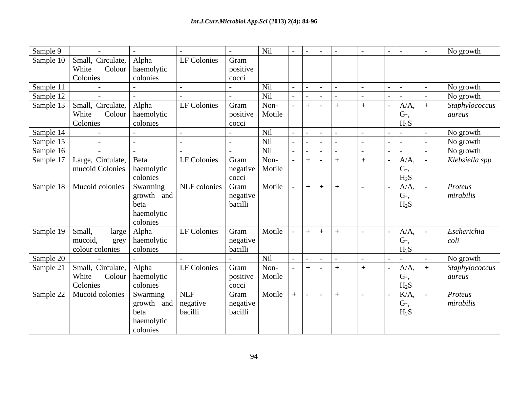| Sample 9           |                                       |                              |                   |          | Nil               |                                 |     |       |        |         | No growth      |
|--------------------|---------------------------------------|------------------------------|-------------------|----------|-------------------|---------------------------------|-----|-------|--------|---------|----------------|
|                    | Sample 10   Small, Circulate,   Alpha |                              | LF Colonies       | Gram     |                   |                                 |     |       |        |         |                |
|                    | White                                 | Colour   haemolytic          |                   | positive |                   |                                 |     |       |        |         |                |
|                    | Colonies                              | colonies                     |                   | cocci    |                   |                                 |     |       |        |         |                |
| Sample 11          | $\sim$ $-$                            |                              |                   | $\sim$   | Nil               | $-1-1$                          |     |       | $\sim$ |         | No growth      |
| Sample 12          |                                       |                              |                   |          | Nil               |                                 |     |       |        |         | No growth      |
|                    | Sample 13   Small, Circulate,   Alpha |                              | LF Colonies       | Gram     | Non-              | $+$ $-$                         | $+$ | $+$   |        | $A/A$ , | Staphylococcus |
|                    | White                                 | Colour   haemolytic          |                   | positive | Motile            |                                 |     |       |        | $G-$    | aureus         |
|                    | Colonies                              | colonies                     |                   | cocci    |                   |                                 |     |       |        | $H_2S$  |                |
| Sample 14          |                                       |                              |                   |          | Nil               |                                 |     |       |        |         | No growth      |
| Sample 15          | $\sim$ $-$                            |                              |                   |          | Nil               | $\sim$                          |     |       |        |         | No growth      |
| Sample 16          |                                       |                              |                   |          | Nil               |                                 |     |       |        |         | No growth      |
|                    | Sample 17   Large, Circulate, Beta    |                              | LF Colonies       | Gram     | Non-              | $+$ $-$                         | $+$ | $\pm$ |        | $A/A$ , | Klebsiella spp |
|                    |                                       | mucoid Colonies   haemolytic |                   |          | negative   Motile |                                 |     |       |        | $G-$    |                |
|                    |                                       | colonies                     |                   | cocci    |                   |                                 |     |       |        | $H_2S$  |                |
|                    | Sample 18   Mucoid colonies           | Swarming                     | NLF colonies Gram |          | Motile            | $+$ $+$ $+$                     |     |       |        | $A/A$ , | Proteus        |
|                    |                                       | growth and                   |                   | negative |                   |                                 |     |       |        | $G-$    | mirabilis      |
|                    |                                       | beta                         |                   | bacilli  |                   |                                 |     |       |        | $H_2S$  |                |
|                    |                                       | haemolytic                   |                   |          |                   |                                 |     |       |        |         |                |
|                    |                                       | colonies                     |                   |          |                   |                                 |     |       |        |         |                |
| Sample 19   Small, |                                       | large   Alpha                | LF Colonies       | Gram     | Motile            | $+ +$ $+$ $+$                   |     |       |        | $A/A$ , | Escherichia    |
|                    | mucoid,                               | grey   haemolytic            |                   | negative |                   |                                 |     |       |        | $G-$    | coli           |
|                    | colour colonies                       | colonies                     |                   | bacilli  |                   |                                 |     |       |        | $H_2S$  |                |
| Sample 20          |                                       |                              |                   |          | Nil               |                                 |     |       |        |         | No growth      |
|                    | Sample 21   Small, Circulate, Alpha   |                              | LF Colonies       | Gram     | Non-              | $+$ $ +$                        |     | $\pm$ |        | $A/A$ , | Staphylococcus |
|                    | White                                 | Colour   haemolytic          |                   | positive | Motile            |                                 |     |       |        | $G-$    | aureus         |
|                    | Colonies                              | colonies                     |                   | cocci    |                   |                                 |     |       |        | $H_2S$  |                |
|                    | Sample 22   Mucoid colonies           | Swarming                     | <b>NLF</b>        | Gram     | Motile            | $\vert - \vert - \vert + \vert$ |     |       |        | $K/A$ , | Proteus        |
|                    |                                       | growth                       | and negative      | negative |                   |                                 |     |       |        | $G-$    | mirabilis      |
|                    |                                       | beta                         | bacilli           | bacilli  |                   |                                 |     |       |        | $H_2S$  |                |
|                    |                                       | haemolytic                   |                   |          |                   |                                 |     |       |        |         |                |
|                    |                                       | colonies                     |                   |          |                   |                                 |     |       |        |         |                |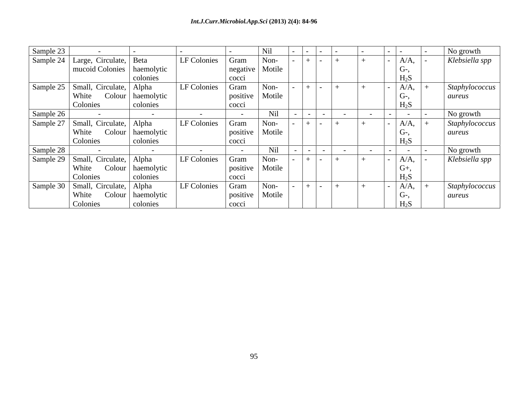| Sample 23 |                                       |                     |                    |          | Ni     |  |                          |                | No growth      |
|-----------|---------------------------------------|---------------------|--------------------|----------|--------|--|--------------------------|----------------|----------------|
|           | Sample 24   Large, Circulate,   Beta  |                     | <b>LF Colonies</b> | Gram     | Non-   |  |                          | $A/A$ ,        | Klebsiella spp |
|           | mucoid Colonies   haemolytic          |                     |                    | negative | Motile |  |                          | $\mid$ G-,     |                |
|           |                                       | colonies            |                    | COCC1    |        |  |                          | $H_2S$         |                |
|           | Sample 25   Small, Circulate,   Alpha |                     | LF Colonies        | Gram     | Non-   |  |                          | $A/A$ ,        | Staphylococcus |
|           | White                                 | Colour   haemolytic |                    | positive | Motile |  |                          | $\Box G$ -,    | aureus         |
|           | Colonies                              | colonies            |                    | cocci    |        |  |                          | $H_2S$         |                |
| Sample 26 |                                       |                     |                    |          | Nil    |  |                          | $\sim$         | No growth      |
| Sample 27 | Small, Circulate, Alpha               |                     | LF Colonies        | Gram     | Non-   |  |                          | $A/A$ ,        | Staphylococcus |
|           | White                                 | Colour   haemolytic |                    | positive | Motile |  |                          | I G-,          | aureus         |
|           | Colonies                              | colonies            |                    | cocci    |        |  |                          | $H_2S$         |                |
| Sample 28 |                                       |                     |                    |          | Nil    |  | $\overline{\phantom{0}}$ | $\sim$ $\sim$  | No growth      |
|           | Sample 29   Small, Circulate,   Alpha |                     | LF Colonies        | Gram     | Non-   |  |                          | $A/A$ ,        | Klebsiella spp |
|           | White                                 | Colour   haemolytic |                    | positive | Motile |  |                          | $\mathsf{G}^+$ |                |
|           | Colonies                              | colonies            |                    | cocci    |        |  |                          | $H_2S$         |                |
|           | Sample 30   Small, Circulate,   Alpha |                     | LF Colonies        | Gram     | Non-   |  |                          | $A/A$ ,        | Staphylococcus |
|           | White                                 | Colour   haemolytic |                    | positive | Motile |  |                          | $\mid$ G-,     | aureus         |
|           | Colonies                              | colonies            |                    | cocci    |        |  |                          | $H_2S$         |                |